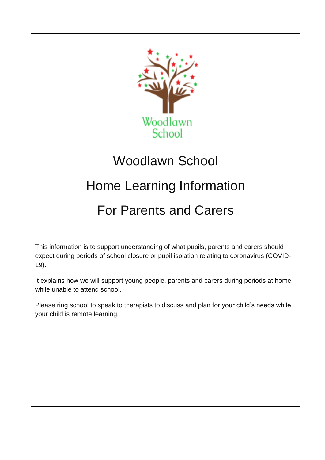

# Woodlawn School

# Home Learning Information

# For Parents and Carers

This information is to support understanding of what pupils, parents and carers should expect during periods of school closure or pupil isolation relating to coronavirus (COVID-19).

It explains how we will support young people, parents and carers during periods at home while unable to attend school.

Please ring school to speak to therapists to discuss and plan for your child's needs while your child is remote learning.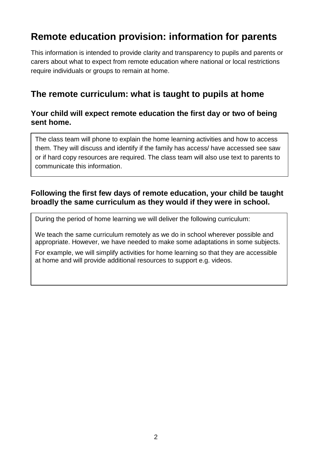# **Remote education provision: information for parents**

This information is intended to provide clarity and transparency to pupils and parents or carers about what to expect from remote education where national or local restrictions require individuals or groups to remain at home.

## **The remote curriculum: what is taught to pupils at home**

### **Your child will expect remote education the first day or two of being sent home.**

The class team will phone to explain the home learning activities and how to access them. They will discuss and identify if the family has access/ have accessed see saw or if hard copy resources are required. The class team will also use text to parents to communicate this information.

### **Following the first few days of remote education, your child be taught broadly the same curriculum as they would if they were in school.**

During the period of home learning we will deliver the following curriculum:

We teach the same curriculum remotely as we do in school wherever possible and appropriate. However, we have needed to make some adaptations in some subjects.

For example, we will simplify activities for home learning so that they are accessible at home and will provide additional resources to support e.g. videos.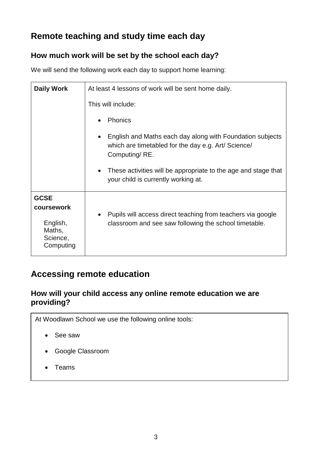## **Remote teaching and study time each day**

## **How much work will be set by the school each day?**

We will send the following work each day to support home learning:

| <b>Daily Work</b>                                                        | At least 4 lessons of work will be sent home daily.                                                                               |
|--------------------------------------------------------------------------|-----------------------------------------------------------------------------------------------------------------------------------|
|                                                                          | This will include:                                                                                                                |
|                                                                          | <b>Phonics</b>                                                                                                                    |
|                                                                          | English and Maths each day along with Foundation subjects<br>which are timetabled for the day e.g. Art/ Science/<br>Computing/RE. |
|                                                                          | These activities will be appropriate to the age and stage that<br>your child is currently working at.                             |
| <b>GCSE</b><br>coursework<br>English,<br>Maths,<br>Science,<br>Computing | Pupils will access direct teaching from teachers via google<br>classroom and see saw following the school timetable.              |

## **Accessing remote education**

### **How will your child access any online remote education we are providing?**

At Woodlawn School we use the following online tools:

- See saw
- Google Classroom
- Teams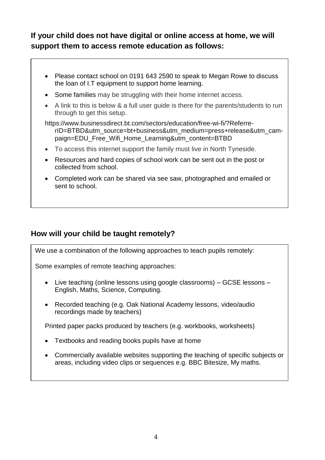## **If your child does not have digital or online access at home, we will support them to access remote education as follows:**

- Please contact school on 0191 643 2590 to speak to Megan Rowe to discuss the loan of I.T equipment to support home learning.
- Some families may be struggling with their home internet access.
- A link to this is below & a full user guide is there for the parents/students to run through to get this setup.

[https://www.businessdirect.bt.com/sectors/education/free-wi-fi/?Referre](https://www.businessdirect.bt.com/sectors/education/free-wi-fi/?ReferrerID=BTBD&utm_source=bt+business&utm_medium=press+release&utm_campaign=EDU_Free_Wifi_Home_Learning&utm_content=BTBD)[rID=BTBD&utm\\_source=bt+business&utm\\_medium=press+release&utm\\_cam](https://www.businessdirect.bt.com/sectors/education/free-wi-fi/?ReferrerID=BTBD&utm_source=bt+business&utm_medium=press+release&utm_campaign=EDU_Free_Wifi_Home_Learning&utm_content=BTBD)[paign=EDU\\_Free\\_Wifi\\_Home\\_Learning&utm\\_content=BTBD](https://www.businessdirect.bt.com/sectors/education/free-wi-fi/?ReferrerID=BTBD&utm_source=bt+business&utm_medium=press+release&utm_campaign=EDU_Free_Wifi_Home_Learning&utm_content=BTBD)

- To access this internet support the family must live in North Tyneside.
- Resources and hard copies of school work can be sent out in the post or collected from school.
- Completed work can be shared via see saw, photographed and emailed or sent to school.

### **How will your child be taught remotely?**

We use a combination of the following approaches to teach pupils remotely:

Some examples of remote teaching approaches:

- Live teaching (online lessons using google classrooms) GCSE lessons English, Maths, Science, Computing.
- Recorded teaching (e.g. Oak National Academy lessons, video/audio recordings made by teachers)

Printed paper packs produced by teachers (e.g. workbooks, worksheets)

- Textbooks and reading books pupils have at home
- Commercially available websites supporting the teaching of specific subjects or areas, including video clips or sequences e.g. BBC Bitesize, My maths.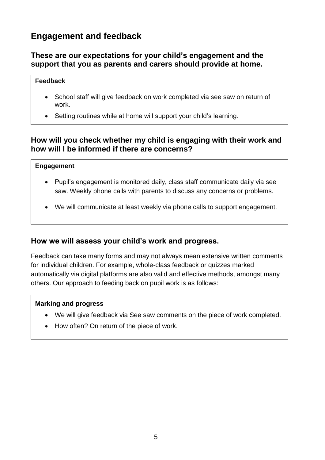## **Engagement and feedback**

#### **These are our expectations for your child's engagement and the support that you as parents and carers should provide at home.**

#### **Feedback**

- School staff will give feedback on work completed via see saw on return of work.
- Setting routines while at home will support your child's learning.

#### **How will you check whether my child is engaging with their work and how will I be informed if there are concerns?**

#### **Engagement**

- Pupil's engagement is monitored daily, class staff communicate daily via see saw. Weekly phone calls with parents to discuss any concerns or problems.
- We will communicate at least weekly via phone calls to support engagement.

#### **How we will assess your child's work and progress.**

Feedback can take many forms and may not always mean extensive written comments for individual children. For example, whole-class feedback or quizzes marked automatically via digital platforms are also valid and effective methods, amongst many others. Our approach to feeding back on pupil work is as follows:

#### **Marking and progress**

- We will give feedback via See saw comments on the piece of work completed.
- How often? On return of the piece of work.